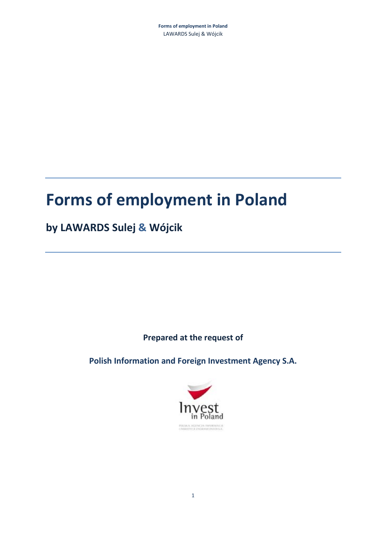# **Forms of employment in Poland**

## **by LAWARDS Sulej & Wójcik**

**Prepared at the request of** 

**Polish Information and Foreign Investment Agency S.A.** 

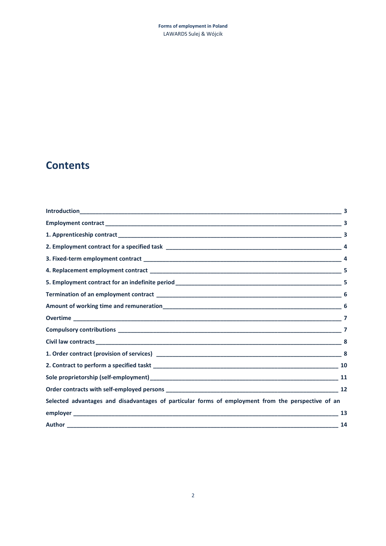## **Contents**

|                                                                                                    | 3 |
|----------------------------------------------------------------------------------------------------|---|
|                                                                                                    | 3 |
|                                                                                                    |   |
|                                                                                                    |   |
|                                                                                                    |   |
|                                                                                                    |   |
|                                                                                                    |   |
|                                                                                                    |   |
|                                                                                                    |   |
|                                                                                                    |   |
|                                                                                                    |   |
|                                                                                                    |   |
|                                                                                                    |   |
|                                                                                                    |   |
|                                                                                                    |   |
|                                                                                                    |   |
| Selected advantages and disadvantages of particular forms of employment from the perspective of an |   |
|                                                                                                    |   |
|                                                                                                    |   |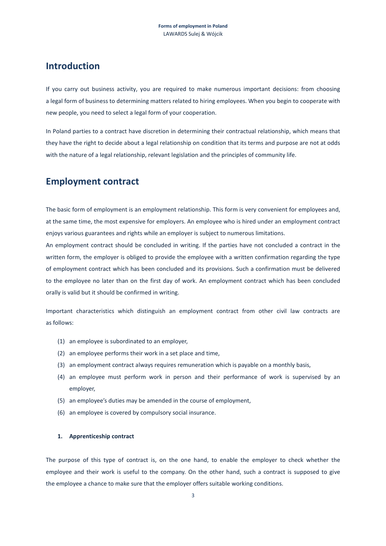### **Introduction**

If you carry out business activity, you are required to make numerous important decisions: from choosing a legal form of business to determining matters related to hiring employees. When you begin to cooperate with new people, you need to select a legal form of your cooperation.

In Poland parties to a contract have discretion in determining their contractual relationship, which means that they have the right to decide about a legal relationship on condition that its terms and purpose are not at odds with the nature of a legal relationship, relevant legislation and the principles of community life.

## **Employment contract**

The basic form of employment is an employment relationship. This form is very convenient for employees and, at the same time, the most expensive for employers. An employee who is hired under an employment contract enjoys various guarantees and rights while an employer is subject to numerous limitations.

An employment contract should be concluded in writing. If the parties have not concluded a contract in the written form, the employer is obliged to provide the employee with a written confirmation regarding the type of employment contract which has been concluded and its provisions. Such a confirmation must be delivered to the employee no later than on the first day of work. An employment contract which has been concluded orally is valid but it should be confirmed in writing.

Important characteristics which distinguish an employment contract from other civil law contracts are as follows:

- (1) an employee is subordinated to an employer,
- (2) an employee performs their work in a set place and time,
- (3) an employment contract always requires remuneration which is payable on a monthly basis,
- (4) an employee must perform work in person and their performance of work is supervised by an employer,
- (5) an employee's duties may be amended in the course of employment,
- (6) an employee is covered by compulsory social insurance.

#### **1. Apprenticeship contract**

The purpose of this type of contract is, on the one hand, to enable the employer to check whether the employee and their work is useful to the company. On the other hand, such a contract is supposed to give the employee a chance to make sure that the employer offers suitable working conditions.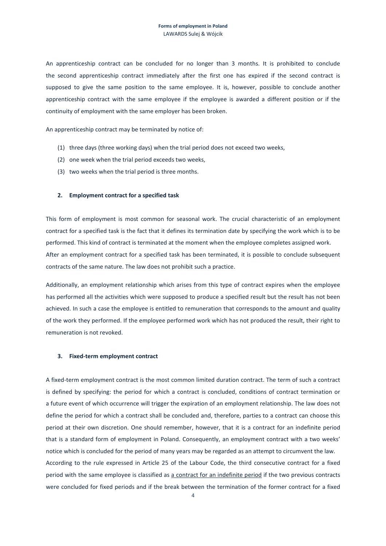An apprenticeship contract can be concluded for no longer than 3 months. It is prohibited to conclude the second apprenticeship contract immediately after the first one has expired if the second contract is supposed to give the same position to the same employee. It is, however, possible to conclude another apprenticeship contract with the same employee if the employee is awarded a different position or if the continuity of employment with the same employer has been broken.

An apprenticeship contract may be terminated by notice of:

- (1) three days (three working days) when the trial period does not exceed two weeks,
- (2) one week when the trial period exceeds two weeks,
- (3) two weeks when the trial period is three months.

#### **2. Employment contract for a specified task**

This form of employment is most common for seasonal work. The crucial characteristic of an employment contract for a specified task is the fact that it defines its termination date by specifying the work which is to be performed. This kind of contract is terminated at the moment when the employee completes assigned work. After an employment contract for a specified task has been terminated, it is possible to conclude subsequent contracts of the same nature. The law does not prohibit such a practice.

Additionally, an employment relationship which arises from this type of contract expires when the employee has performed all the activities which were supposed to produce a specified result but the result has not been achieved. In such a case the employee is entitled to remuneration that corresponds to the amount and quality of the work they performed. If the employee performed work which has not produced the result, their right to remuneration is not revoked.

#### **3. Fixed-term employment contract**

A fixed-term employment contract is the most common limited duration contract. The term of such a contract is defined by specifying: the period for which a contract is concluded, conditions of contract termination or a future event of which occurrence will trigger the expiration of an employment relationship. The law does not define the period for which a contract shall be concluded and, therefore, parties to a contract can choose this period at their own discretion. One should remember, however, that it is a contract for an indefinite period that is a standard form of employment in Poland. Consequently, an employment contract with a two weeks' notice which is concluded for the period of many years may be regarded as an attempt to circumvent the law. According to the rule expressed in Article 25 of the Labour Code, the third consecutive contract for a fixed period with the same employee is classified as a contract for an indefinite period if the two previous contracts were concluded for fixed periods and if the break between the termination of the former contract for a fixed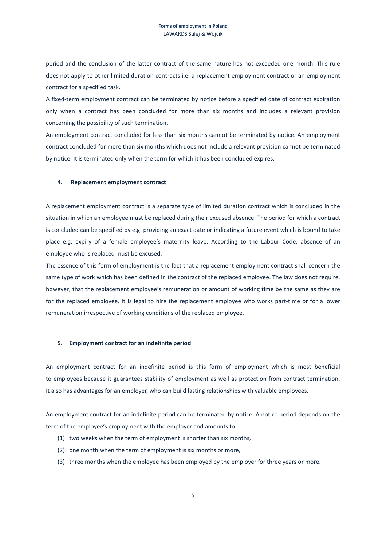period and the conclusion of the latter contract of the same nature has not exceeded one month. This rule does not apply to other limited duration contracts i.e. a replacement employment contract or an employment contract for a specified task.

A fixed-term employment contract can be terminated by notice before a specified date of contract expiration only when a contract has been concluded for more than six months and includes a relevant provision concerning the possibility of such termination.

An employment contract concluded for less than six months cannot be terminated by notice. An employment contract concluded for more than six months which does not include a relevant provision cannot be terminated by notice. It is terminated only when the term for which it has been concluded expires.

#### **4. Replacement employment contract**

A replacement employment contract is a separate type of limited duration contract which is concluded in the situation in which an employee must be replaced during their excused absence. The period for which a contract is concluded can be specified by e.g. providing an exact date or indicating a future event which is bound to take place e.g. expiry of a female employee's maternity leave. According to the Labour Code, absence of an employee who is replaced must be excused.

The essence of this form of employment is the fact that a replacement employment contract shall concern the same type of work which has been defined in the contract of the replaced employee. The law does not require, however, that the replacement employee's remuneration or amount of working time be the same as they are for the replaced employee. It is legal to hire the replacement employee who works part-time or for a lower remuneration irrespective of working conditions of the replaced employee.

#### **5. Employment contract for an indefinite period**

An employment contract for an indefinite period is this form of employment which is most beneficial to employees because it guarantees stability of employment as well as protection from contract termination. It also has advantages for an employer, who can build lasting relationships with valuable employees.

An employment contract for an indefinite period can be terminated by notice. A notice period depends on the term of the employee's employment with the employer and amounts to:

- (1) two weeks when the term of employment is shorter than six months,
- (2) one month when the term of employment is six months or more,
- (3) three months when the employee has been employed by the employer for three years or more.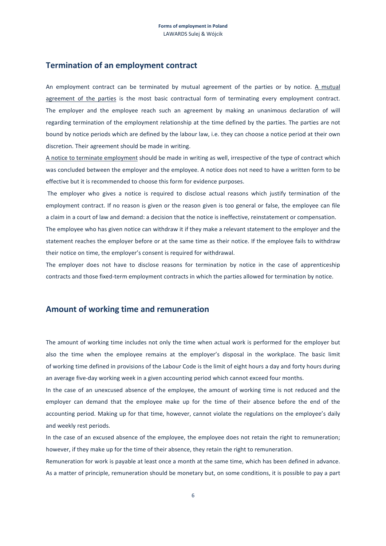#### **Termination of an employment contract**

An employment contract can be terminated by mutual agreement of the parties or by notice. A mutual agreement of the parties is the most basic contractual form of terminating every employment contract. The employer and the employee reach such an agreement by making an unanimous declaration of will regarding termination of the employment relationship at the time defined by the parties. The parties are not bound by notice periods which are defined by the labour law, i.e. they can choose a notice period at their own discretion. Their agreement should be made in writing.

A notice to terminate employment should be made in writing as well, irrespective of the type of contract which was concluded between the employer and the employee. A notice does not need to have a written form to be effective but it is recommended to choose this form for evidence purposes.

 The employer who gives a notice is required to disclose actual reasons which justify termination of the employment contract. If no reason is given or the reason given is too general or false, the employee can file a claim in a court of law and demand: a decision that the notice is ineffective, reinstatement or compensation.

The employee who has given notice can withdraw it if they make a relevant statement to the employer and the statement reaches the employer before or at the same time as their notice. If the employee fails to withdraw their notice on time, the employer's consent is required for withdrawal.

The employer does not have to disclose reasons for termination by notice in the case of apprenticeship contracts and those fixed-term employment contracts in which the parties allowed for termination by notice.

#### **Amount of working time and remuneration**

The amount of working time includes not only the time when actual work is performed for the employer but also the time when the employee remains at the employer's disposal in the workplace. The basic limit of working time defined in provisions of the Labour Code is the limit of eight hours a day and forty hours during an average five-day working week in a given accounting period which cannot exceed four months.

In the case of an unexcused absence of the employee, the amount of working time is not reduced and the employer can demand that the employee make up for the time of their absence before the end of the accounting period. Making up for that time, however, cannot violate the regulations on the employee's daily and weekly rest periods.

In the case of an excused absence of the employee, the employee does not retain the right to remuneration; however, if they make up for the time of their absence, they retain the right to remuneration.

Remuneration for work is payable at least once a month at the same time, which has been defined in advance. As a matter of principle, remuneration should be monetary but, on some conditions, it is possible to pay a part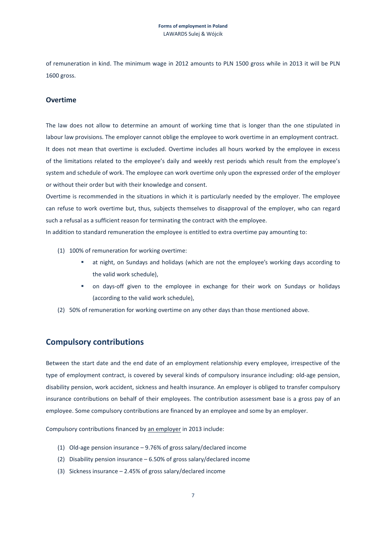of remuneration in kind. The minimum wage in 2012 amounts to PLN 1500 gross while in 2013 it will be PLN 1600 gross.

#### **Overtime**

The law does not allow to determine an amount of working time that is longer than the one stipulated in labour law provisions. The employer cannot oblige the employee to work overtime in an employment contract. It does not mean that overtime is excluded. Overtime includes all hours worked by the employee in excess of the limitations related to the employee's daily and weekly rest periods which result from the employee's system and schedule of work. The employee can work overtime only upon the expressed order of the employer or without their order but with their knowledge and consent.

Overtime is recommended in the situations in which it is particularly needed by the employer. The employee can refuse to work overtime but, thus, subjects themselves to disapproval of the employer, who can regard such a refusal as a sufficient reason for terminating the contract with the employee.

In addition to standard remuneration the employee is entitled to extra overtime pay amounting to:

- (1) 100% of remuneration for working overtime:
	- at night, on Sundays and holidays (which are not the employee's working days according to the valid work schedule),
	- on days-off given to the employee in exchange for their work on Sundays or holidays (according to the valid work schedule),
- (2) 50% of remuneration for working overtime on any other days than those mentioned above.

#### **Compulsory contributions**

Between the start date and the end date of an employment relationship every employee, irrespective of the type of employment contract, is covered by several kinds of compulsory insurance including: old-age pension, disability pension, work accident, sickness and health insurance. An employer is obliged to transfer compulsory insurance contributions on behalf of their employees. The contribution assessment base is a gross pay of an employee. Some compulsory contributions are financed by an employee and some by an employer.

Compulsory contributions financed by an employer in 2013 include:

- (1) Old-age pension insurance 9.76% of gross salary/declared income
- (2) Disability pension insurance 6.50% of gross salary/declared income
- (3) Sickness insurance 2.45% of gross salary/declared income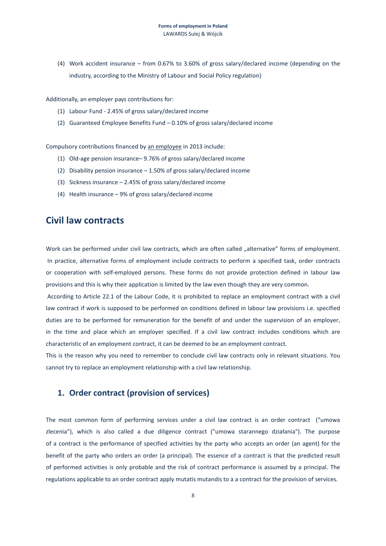(4) Work accident insurance – from 0.67% to 3.60% of gross salary/declared income (depending on the industry, according to the Ministry of Labour and Social Policy regulation)

Additionally, an employer pays contributions for:

- (1) Labour Fund 2.45% of gross salary/declared income
- (2) Guaranteed Employee Benefits Fund 0.10% of gross salary/declared income

Compulsory contributions financed by an employee in 2013 include:

- (1) Old-age pension insurance– 9.76% of gross salary/declared income
- (2) Disability pension insurance 1.50% of gross salary/declared income
- (3) Sickness insurance 2.45% of gross salary/declared income
- (4) Health insurance 9% of gross salary/declared income

### **Civil law contracts**

Work can be performed under civil law contracts, which are often called "alternative" forms of employment. In practice, alternative forms of employment include contracts to perform a specified task, order contracts or cooperation with self-employed persons. These forms do not provide protection defined in labour law provisions and this is why their application is limited by the law even though they are very common.

 According to Article 22.1 of the Labour Code, it is prohibited to replace an employment contract with a civil law contract if work is supposed to be performed on conditions defined in labour law provisions i.e. specified duties are to be performed for remuneration for the benefit of and under the supervision of an employer, in the time and place which an employer specified. If a civil law contract includes conditions which are characteristic of an employment contract, it can be deemed to be an employment contract.

This is the reason why you need to remember to conclude civil law contracts only in relevant situations. You cannot try to replace an employment relationship with a civil law relationship.

#### **1. Order contract (provision of services)**

The most common form of performing services under a civil law contract is an order contract ("umowa zlecenia"), which is also called a due diligence contract ("umowa starannego działania"). The purpose of a contract is the performance of specified activities by the party who accepts an order (an agent) for the benefit of the party who orders an order (a principal). The essence of a contract is that the predicted result of performed activities is only probable and the risk of contract performance is assumed by a principal. The regulations applicable to an order contract apply mutatis mutandis to a a contract for the provision of services.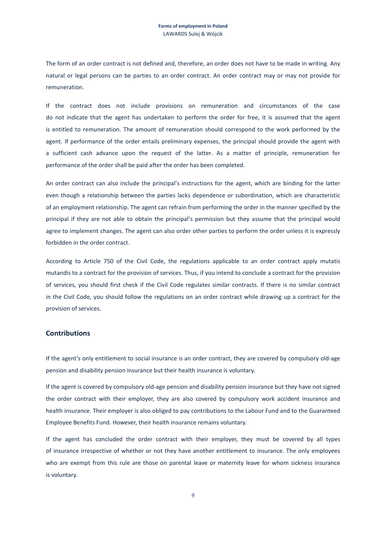The form of an order contract is not defined and, therefore, an order does not have to be made in writing. Any natural or legal persons can be parties to an order contract. An order contract may or may not provide for remuneration.

If the contract does not include provisions on remuneration and circumstances of the case do not indicate that the agent has undertaken to perform the order for free, it is assumed that the agent is entitled to remuneration. The amount of remuneration should correspond to the work performed by the agent. If performance of the order entails preliminary expenses, the principal should provide the agent with a sufficient cash advance upon the request of the latter. As a matter of principle, remuneration for performance of the order shall be paid after the order has been completed.

An order contract can also include the principal's instructions for the agent, which are binding for the latter even though a relationship between the parties lacks dependence or subordination, which are characteristic of an employment relationship. The agent can refrain from performing the order in the manner specified by the principal if they are not able to obtain the principal's permission but they assume that the principal would agree to implement changes. The agent can also order other parties to perform the order unless it is expressly forbidden in the order contract.

According to Article 750 of the Civil Code, the regulations applicable to an order contract apply mutatis mutandis to a contract for the provision of services. Thus, if you intend to conclude a contract for the provision of services, you should first check if the Civil Code regulates similar contracts. If there is no similar contract in the Civil Code, you should follow the regulations on an order contract while drawing up a contract for the provision of services.

#### **Contributions**

If the agent's only entitlement to social insurance is an order contract, they are covered by compulsory old-age pension and disability pension insurance but their health insurance is voluntary.

If the agent is covered by compulsory old-age pension and disability pension insurance but they have not signed the order contract with their employer, they are also covered by compulsory work accident insurance and health insurance. Their employer is also obliged to pay contributions to the Labour Fund and to the Guaranteed Employee Benefits Fund. However, their health insurance remains voluntary.

If the agent has concluded the order contract with their employer, they must be covered by all types of insurance irrespective of whether or not they have another entitlement to insurance. The only employees who are exempt from this rule are those on parental leave or maternity leave for whom sickness insurance is voluntary.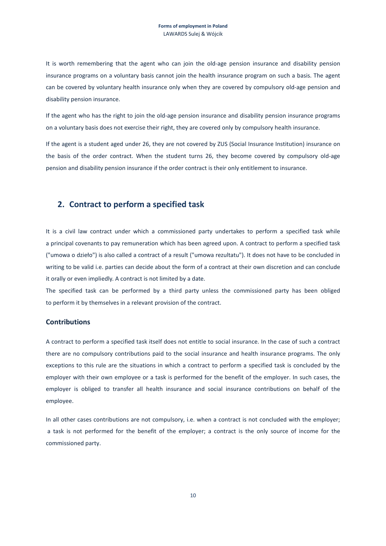It is worth remembering that the agent who can join the old-age pension insurance and disability pension insurance programs on a voluntary basis cannot join the health insurance program on such a basis. The agent can be covered by voluntary health insurance only when they are covered by compulsory old-age pension and disability pension insurance.

If the agent who has the right to join the old-age pension insurance and disability pension insurance programs on a voluntary basis does not exercise their right, they are covered only by compulsory health insurance.

If the agent is a student aged under 26, they are not covered by ZUS (Social Insurance Institution) insurance on the basis of the order contract. When the student turns 26, they become covered by compulsory old-age pension and disability pension insurance if the order contract is their only entitlement to insurance.

#### **2. Contract to perform a specified task**

It is a civil law contract under which a commissioned party undertakes to perform a specified task while a principal covenants to pay remuneration which has been agreed upon. A contract to perform a specified task ("umowa o dzieło") is also called a contract of a result ("umowa rezultatu"). It does not have to be concluded in writing to be valid i.e. parties can decide about the form of a contract at their own discretion and can conclude it orally or even impliedly. A contract is not limited by a date.

The specified task can be performed by a third party unless the commissioned party has been obliged to perform it by themselves in a relevant provision of the contract.

#### **Contributions**

A contract to perform a specified task itself does not entitle to social insurance. In the case of such a contract there are no compulsory contributions paid to the social insurance and health insurance programs. The only exceptions to this rule are the situations in which a contract to perform a specified task is concluded by the employer with their own employee or a task is performed for the benefit of the employer. In such cases, the employer is obliged to transfer all health insurance and social insurance contributions on behalf of the employee.

In all other cases contributions are not compulsory, i.e. when a contract is not concluded with the employer; a task is not performed for the benefit of the employer; a contract is the only source of income for the commissioned party.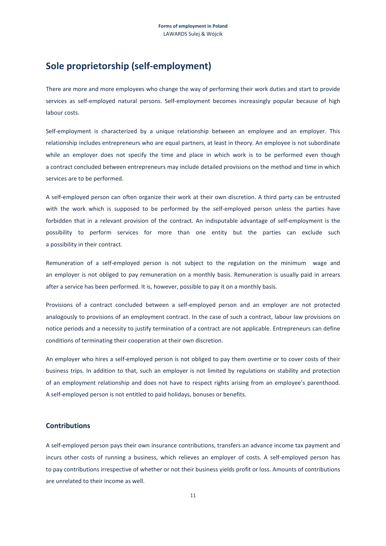## **Sole proprietorship (self-employment)**

There are more and more employees who change the way of performing their work duties and start to provide services as self-employed natural persons. Self-employment becomes increasingly popular because of high labour costs.

Self-employment is characterized by a unique relationship between an employee and an employer. This relationship includes entrepreneurs who are equal partners, at least in theory. An employee is not subordinate while an employer does not specify the time and place in which work is to be performed even though a contract concluded between entrepreneurs may include detailed provisions on the method and time in which services are to be performed.

A self-employed person can often organize their work at their own discretion. A third party can be entrusted with the work which is supposed to be performed by the self-employed person unless the parties have forbidden that in a relevant provision of the contract. An indisputable advantage of self-employment is the possibility to perform services for more than one entity but the parties can exclude such a possibility in their contract.

Remuneration of a self-employed person is not subject to the regulation on the minimum wage and an employer is not obliged to pay remuneration on a monthly basis. Remuneration is usually paid in arrears after a service has been performed. It is, however, possible to pay it on a monthly basis.

Provisions of a contract concluded between a self-employed person and an employer are not protected analogously to provisions of an employment contract. In the case of such a contract, labour law provisions on notice periods and a necessity to justify termination of a contract are not applicable. Entrepreneurs can define conditions of terminating their cooperation at their own discretion.

An employer who hires a self-employed person is not obliged to pay them overtime or to cover costs of their business trips. In addition to that, such an employer is not limited by regulations on stability and protection of an employment relationship and does not have to respect rights arising from an employee's parenthood. A self-employed person is not entitled to paid holidays, bonuses or benefits.

#### **Contributions**

A self-employed person pays their own insurance contributions, transfers an advance income tax payment and incurs other costs of running a business, which relieves an employer of costs. A self-employed person has to pay contributions irrespective of whether or not their business yields profit or loss. Amounts of contributions are unrelated to their income as well.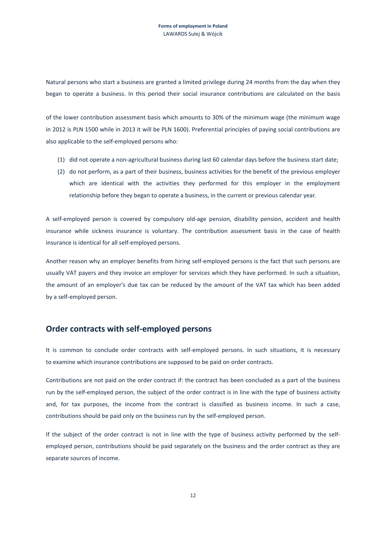Natural persons who start a business are granted a limited privilege during 24 months from the day when they began to operate a business. In this period their social insurance contributions are calculated on the basis

of the lower contribution assessment basis which amounts to 30% of the minimum wage (the minimum wage in 2012 is PLN 1500 while in 2013 it will be PLN 1600). Preferential principles of paying social contributions are also applicable to the self-employed persons who:

- (1) did not operate a non-agricultural business during last 60 calendar days before the business start date;
- (2) do not perform, as a part of their business, business activities for the benefit of the previous employer which are identical with the activities they performed for this employer in the employment relationship before they began to operate a business, in the current or previous calendar year.

A self-employed person is covered by compulsory old-age pension, disability pension, accident and health insurance while sickness insurance is voluntary. The contribution assessment basis in the case of health insurance is identical for all self-employed persons.

Another reason why an employer benefits from hiring self-employed persons is the fact that such persons are usually VAT payers and they invoice an employer for services which they have performed. In such a situation, the amount of an employer's due tax can be reduced by the amount of the VAT tax which has been added by a self-employed person.

#### **Order contracts with self-employed persons**

It is common to conclude order contracts with self-employed persons. In such situations, it is necessary to examine which insurance contributions are supposed to be paid on order contracts.

Contributions are not paid on the order contract if: the contract has been concluded as a part of the business run by the self-employed person, the subject of the order contract is in line with the type of business activity and, for tax purposes, the income from the contract is classified as business income. In such a case, contributions should be paid only on the business run by the self-employed person.

If the subject of the order contract is not in line with the type of business activity performed by the selfemployed person, contributions should be paid separately on the business and the order contract as they are separate sources of income.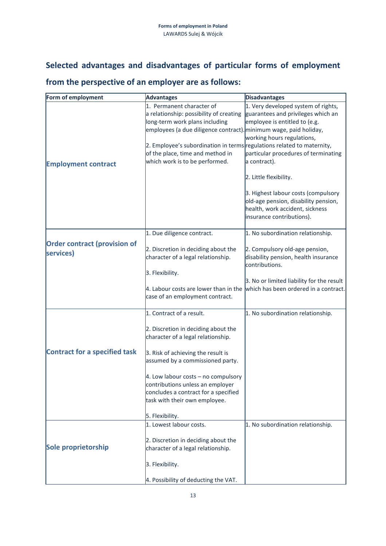## **Selected advantages and disadvantages of particular forms of employment**

## **from the perspective of an employer are as follows:**

| Form of employment                               | <b>Advantages</b>                                                                                                                                                                                                                                                                                                                                        | <b>Disadvantages</b>                                                                                                                                                                                                                                                                                                                                                      |
|--------------------------------------------------|----------------------------------------------------------------------------------------------------------------------------------------------------------------------------------------------------------------------------------------------------------------------------------------------------------------------------------------------------------|---------------------------------------------------------------------------------------------------------------------------------------------------------------------------------------------------------------------------------------------------------------------------------------------------------------------------------------------------------------------------|
| <b>Employment contract</b>                       | 1. Permanent character of<br>a relationship: possibility of creating<br>long-term work plans including<br>employees (a due diligence contract). minimum wage, paid holiday,<br>2. Employee's subordination in terms regulations related to maternity,<br>of the place, time and method in<br>which work is to be performed.                              | 1. Very developed system of rights,<br>guarantees and privileges which an<br>employee is entitled to (e.g.<br>working hours regulations,<br>particular procedures of terminating<br>a contract).<br>2. Little flexibility.<br>3. Highest labour costs (compulsory<br>old-age pension, disability pension,<br>health, work accident, sickness<br>insurance contributions). |
| <b>Order contract (provision of</b><br>services) | 1. Due diligence contract.<br>2. Discretion in deciding about the<br>character of a legal relationship.                                                                                                                                                                                                                                                  | 1. No subordination relationship.<br>2. Compulsory old-age pension,<br>disability pension, health insurance<br>contributions.                                                                                                                                                                                                                                             |
|                                                  | 3. Flexibility.<br>4. Labour costs are lower than in the<br>case of an employment contract.                                                                                                                                                                                                                                                              | 3. No or limited liability for the result<br>which has been ordered in a contract.                                                                                                                                                                                                                                                                                        |
| <b>Contract for a specified task</b>             | 1. Contract of a result.<br>2. Discretion in deciding about the<br>character of a legal relationship.<br>3. Risk of achieving the result is<br>assumed by a commissioned party.<br>4. Low labour costs $-$ no compulsory<br>contributions unless an employer<br>concludes a contract for a specified<br>task with their own employee.<br>5. Flexibility. | 1. No subordination relationship.                                                                                                                                                                                                                                                                                                                                         |
| Sole proprietorship                              | 1. Lowest labour costs.<br>2. Discretion in deciding about the<br>character of a legal relationship.<br>3. Flexibility.<br>4. Possibility of deducting the VAT.                                                                                                                                                                                          | 1. No subordination relationship.                                                                                                                                                                                                                                                                                                                                         |